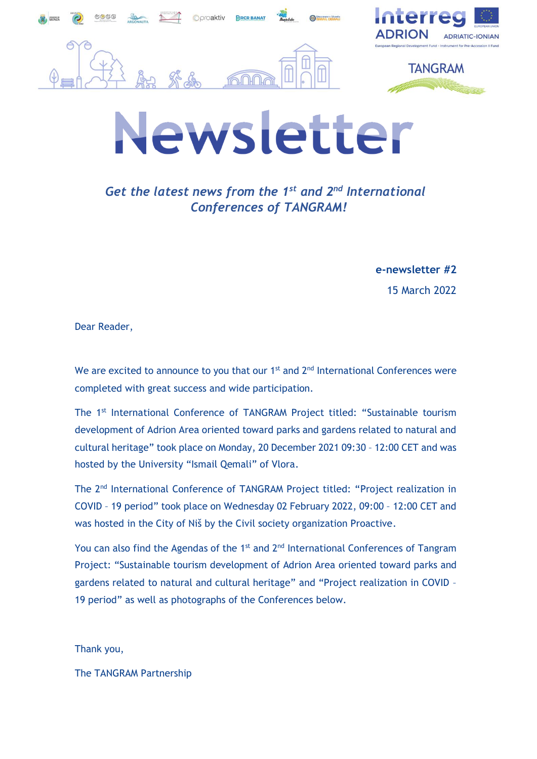



*Get the latest news from the 1st and 2nd International Conferences of TANGRAM!*

> **e-newsletter #2** 15 March 2022

Dear Reader,

We are excited to announce to you that our  $1<sup>st</sup>$  and  $2<sup>nd</sup>$  International Conferences were completed with great success and wide participation.

The 1<sup>st</sup> International Conference of TANGRAM Project titled: "Sustainable tourism development of Adrion Area oriented toward parks and gardens related to natural and cultural heritage" took place on Monday, 20 December 2021 09:30 – 12:00 CET and was hosted by the University "Ismail Qemali" of Vlora.

The 2nd International Conference of TANGRAM Project titled: "Project realization in COVID – 19 period" took place on Wednesday 02 February 2022, 09:00 – 12:00 CET and was hosted in the City of Niš by the Civil society organization Proactive.

You can also find the Agendas of the 1<sup>st</sup> and 2<sup>nd</sup> International Conferences of Tangram Project: "Sustainable tourism development of Adrion Area oriented toward parks and gardens related to natural and cultural heritage" and "Project realization in COVID – 19 period" as well as photographs of the Conferences below.

Thank you,

The TANGRAM Partnership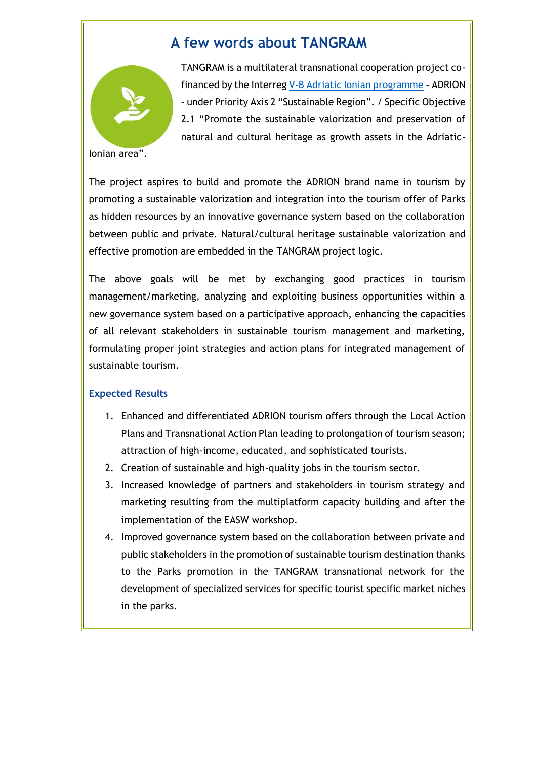

# **A few words about TANGRAM**

TANGRAM is a multilateral transnational cooperation project cofinanced by the Interreg [V-B Adriatic Ionian programme](https://www.adrioninterreg.eu/) – ADRION – under Priority Axis 2 "Sustainable Region". / Specific Objective 2.1 "Promote the sustainable valorization and preservation of natural and cultural heritage as growth assets in the Adriatic-

Ionian area".

The project aspires to build and promote the ADRION brand name in tourism by promoting a sustainable valorization and integration into the tourism offer of Parks as hidden resources by an innovative governance system based on the collaboration between public and private. Natural/cultural heritage sustainable valorization and effective promotion are embedded in the TANGRAM project logic.

The above goals will be met by exchanging good practices in tourism management/marketing, analyzing and exploiting business opportunities within a new governance system based on a participative approach, enhancing the capacities of all relevant stakeholders in sustainable tourism management and marketing, formulating proper joint strategies and action plans for integrated management of sustainable tourism.

### **Expected Results**

- 1. Enhanced and differentiated ADRION tourism offers through the Local Action Plans and Transnational Action Plan leading to prolongation of tourism season; attraction of high-income, educated, and sophisticated tourists.
- 2. Creation of sustainable and high-quality jobs in the tourism sector.
- 3. Increased knowledge of partners and stakeholders in tourism strategy and marketing resulting from the multiplatform capacity building and after the implementation of the EASW workshop.
- 4. Improved governance system based on the collaboration between private and public stakeholders in the promotion of sustainable tourism destination thanks to the Parks promotion in the TANGRAM transnational network for the development of specialized services for specific tourist specific market niches in the parks.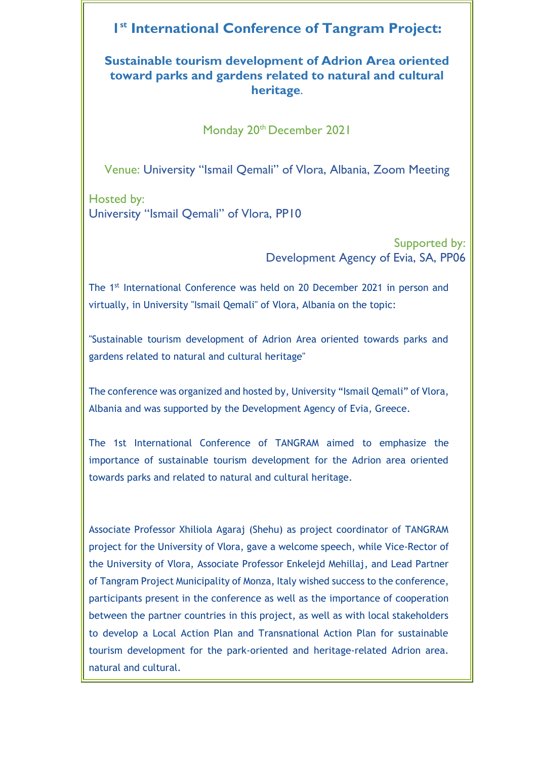# **1 st International Conference of Tangram Project:**

**Sustainable tourism development of Adrion Area oriented toward parks and gardens related to natural and cultural heritage**.

Monday 20th December 2021

Venue: University "Ismail Qemali" of Vlora, Albania, Zoom Meeting

Hosted by: University "Ismail Qemali" of Vlora, PP10

> Supported by: Development Agency of Evia, SA, PP06

The 1<sup>st</sup> International Conference was held on 20 December 2021 in person and virtually, in University "Ismail Qemali" of Vlora, Albania on the topic:

"Sustainable tourism development of Adrion Area oriented towards parks and gardens related to natural and cultural heritage"

The conference was organized and hosted by, University "Ismail Qemali" of Vlora, Albania and was supported by the Development Agency of Evia, Greece.

The 1st International Conference of TANGRAM aimed to emphasize the importance of sustainable tourism development for the Adrion area oriented towards parks and related to natural and cultural heritage.

Associate Professor Xhiliola Agaraj (Shehu) as project coordinator of TANGRAM project for the University of Vlora, gave a welcome speech, while Vice-Rector of the University of Vlora, Associate Professor Enkelejd Mehillaj, and Lead Partner of Tangram Project Municipality of Monza, Italy wished success to the conference, participants present in the conference as well as the importance of cooperation between the partner countries in this project, as well as with local stakeholders to develop a Local Action Plan and Transnational Action Plan for sustainable tourism development for the park-oriented and heritage-related Adrion area. natural and cultural.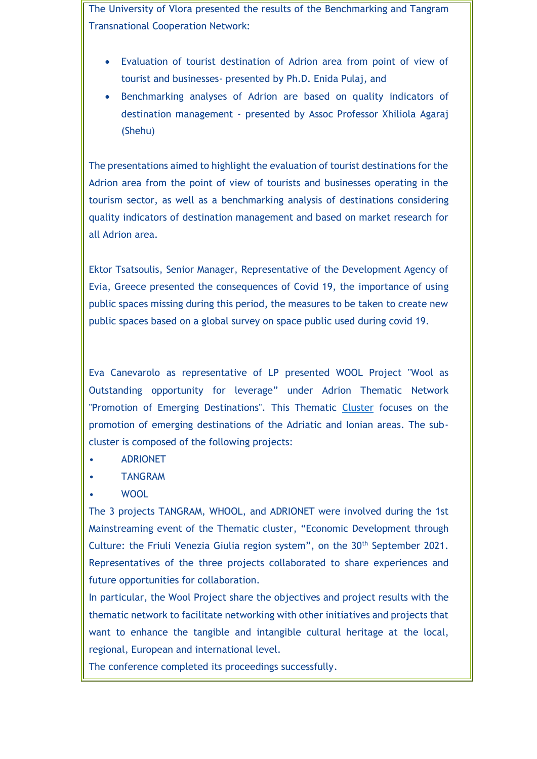The University of Vlora presented the results of the Benchmarking and Tangram Transnational Cooperation Network:

- Evaluation of tourist destination of Adrion area from point of view of tourist and businesses- presented by Ph.D. Enida Pulaj, and
- Benchmarking analyses of Adrion are based on quality indicators of destination management - presented by Assoc Professor Xhiliola Agaraj (Shehu)

The presentations aimed to highlight the evaluation of tourist destinations for the Adrion area from the point of view of tourists and businesses operating in the tourism sector, as well as a benchmarking analysis of destinations considering quality indicators of destination management and based on market research for all Adrion area.

Ektor Tsatsoulis, Senior Manager, Representative of the Development Agency of Evia, Greece presented the consequences of Covid 19, the importance of using public spaces missing during this period, the measures to be taken to create new public spaces based on a global survey on space public used during covid 19.

Eva Canevarolo as representative of LP presented WOOL Project "Wool as Outstanding opportunity for leverage" under Adrion Thematic Network "Promotion of Emerging Destinations". This Thematic [Cluster](https://www.adrioninterreg.eu/index.php/2021/11/05/adrion-thematic-sub-cluster-on-emerging-destinations/) focuses on the promotion of emerging destinations of the Adriatic and Ionian areas. The subcluster is composed of the following projects:

- **ADRIONET**
- **TANGRAM**
- WOOL

The 3 projects TANGRAM, WHOOL, and ADRIONET were involved during the 1st Mainstreaming event of the Thematic cluster, "Economic Development through Culture: the Friuli Venezia Giulia region system", on the 30<sup>th</sup> September 2021. Representatives of the three projects collaborated to share experiences and future opportunities for collaboration.

In particular, the Wool Project share the objectives and project results with the thematic network to facilitate networking with other initiatives and projects that want to enhance the tangible and intangible cultural heritage at the local, regional, European and international level.

The conference completed its proceedings successfully.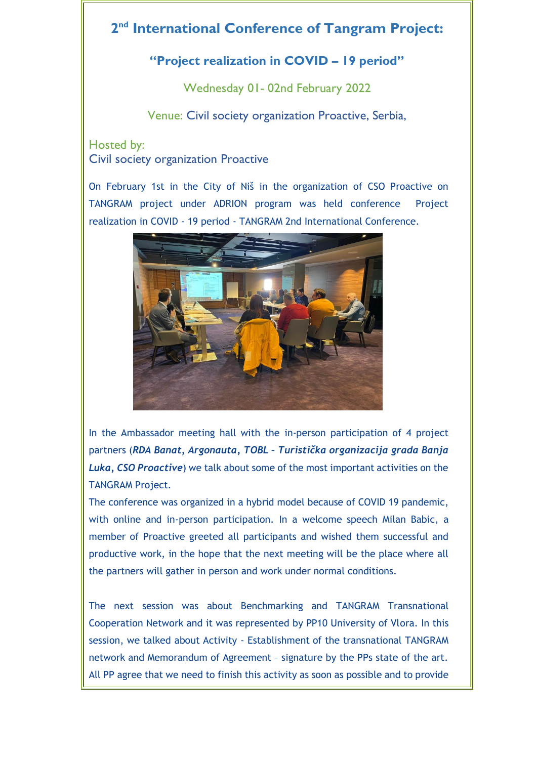## 2<sup>nd</sup> International Conference of Tangram Project:

### **"Project realization in COVID – 19 period"**

Wednesday 01- 02nd February 2022

Venue: Civil society organization Proactive, Serbia,

Hosted by: Civil society organization Proactive

On February 1st in the City of Niš in the organization of CSO Proactive on TANGRAM project under ADRION program was held conference Project realization in COVID - 19 period - TANGRAM 2nd International Conference.



In the Ambassador meeting hall with the in-person participation of 4 project partners (*RDA Banat, Argonauta, TOBL – Turistička organizacija grada Banja Luka, CSO Proactive*) we talk about some of the most important activities on the TANGRAM Project.

The conference was organized in a hybrid model because of COVID 19 pandemic, with online and in-person participation. In a welcome speech Milan Babic, a member of Proactive greeted all participants and wished them successful and productive work, in the hope that the next meeting will be the place where all the partners will gather in person and work under normal conditions.

The next session was about Benchmarking and TANGRAM Transnational Cooperation Network and it was represented by PP10 University of Vlora. In this session, we talked about Activity - Establishment of the transnational TANGRAM network and Memorandum of Agreement – signature by the PPs state of the art. All PP agree that we need to finish this activity as soon as possible and to provide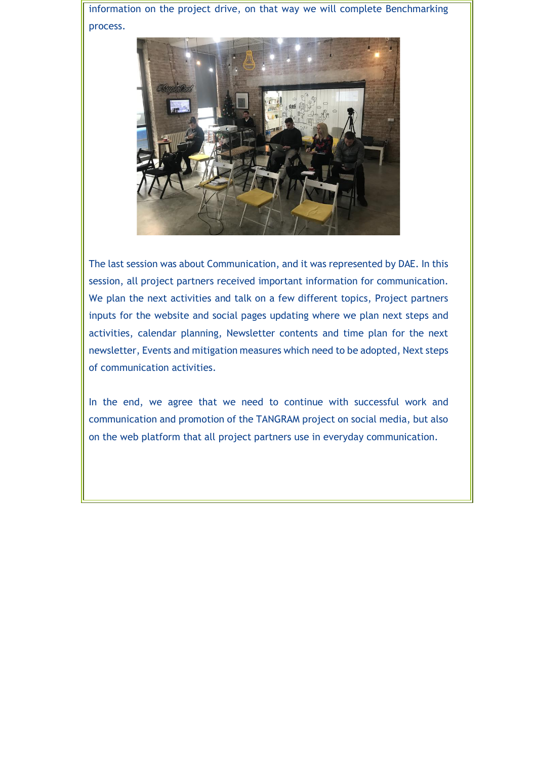information on the project drive, on that way we will complete Benchmarking process.



The last session was about Communication, and it was represented by DAE. In this session, all project partners received important information for communication. We plan the next activities and talk on a few different topics, Project partners inputs for the website and social pages updating where we plan next steps and activities, calendar planning, Newsletter contents and time plan for the next newsletter, Events and mitigation measures which need to be adopted, Next steps of communication activities.

In the end, we agree that we need to continue with successful work and communication and promotion of the TANGRAM project on social media, but also on the web platform that all project partners use in everyday communication.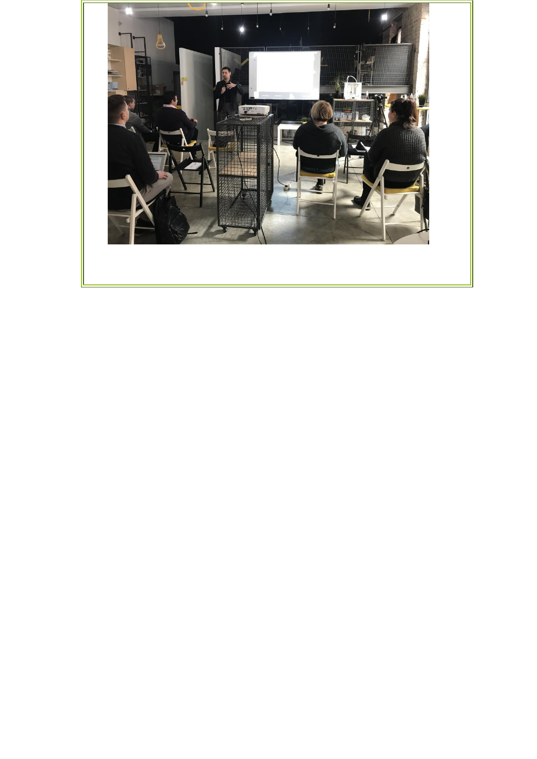